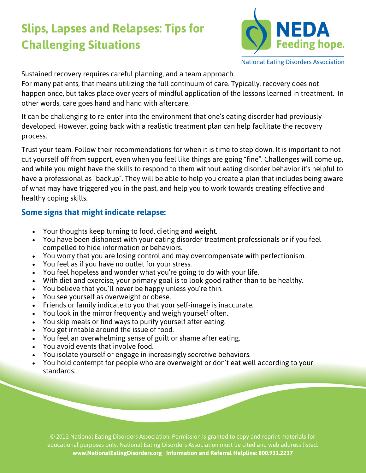# **Slips, Lapses and Relapses: Tips for Challenging Situations**



**National Eating Disorders Association** 

Sustained recovery requires careful planning, and a team approach.

For many patients, that means utilizing the full continuum of care. Typically, recovery does not happen once, but takes place over years of mindful application of the lessons learned in treatment. In other words, care goes hand and hand with aftercare.

It can be challenging to re-enter into the environment that one's eating disorder had previously developed. However, going back with a realistic treatment plan can help facilitate the recovery process.

Trust your team. Follow their recommendations for when it is time to step down. It is important to not cut yourself off from support, even when you feel like things are going "fine". Challenges will come up, and while you might have the skills to respond to them without eating disorder behavior it's helpful to have a professional as "backup". They will be able to help you create a plan that includes being aware of what may have triggered you in the past, and help you to work towards creating effective and healthy coping skills.

### **Some signs that might indicate relapse:**

- Your thoughts keep turning to food, dieting and weight.
- You have been dishonest with your eating disorder treatment professionals or if you feel compelled to hide information or behaviors.
- You worry that you are losing control and may overcompensate with perfectionism.
- You feel as if you have no outlet for your stress.
- You feel hopeless and wonder what you're going to do with your life.
- With diet and exercise, your primary goal is to look good rather than to be healthy.
- You believe that you'll never be happy unless you're thin.
- You see yourself as overweight or obese.
- Friends or family indicate to you that your self-image is inaccurate.
- You look in the mirror frequently and weigh yourself often.
- You skip meals or find ways to purify yourself after eating.
- You get irritable around the issue of food.
- You feel an overwhelming sense of guilt or shame after eating.
- You avoid events that involve food.
- You isolate yourself or engage in increasingly secretive behaviors.
- You hold contempt for people who are overweight or don't eat well according to your standards.

© 2012 National Eating Disorders Association. Permission is granted to copy and reprint materials for educational purposes only. National Eating Disorders Association must be cited and web address listed. **www.NationalEatingDisorders.org Information and Referral Helpline: 800.931.2237**